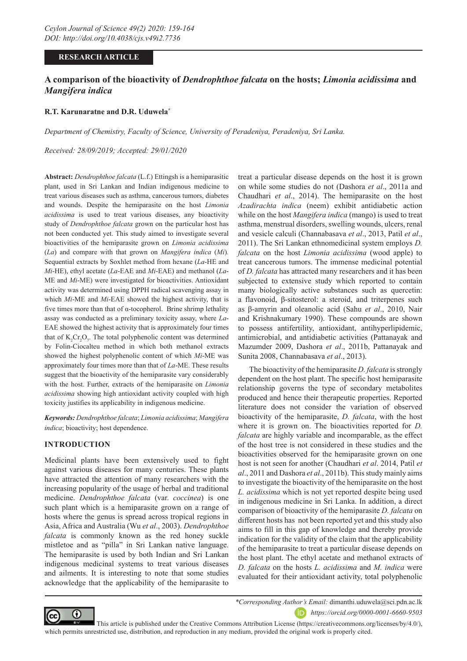# **RESEARCH ARTICLE**

# **A comparison of the bioactivity of** *Dendrophthoe falcata* **on the hosts;** *Limonia acidissima* **and**  *Mangifera indica*

### **R.T. Karunaratne and D.R. Uduwela\***

*Department of Chemistry, Faculty of Science, University of Peradeniya, Peradeniya, Sri Lanka.*

*Received: 28/09/2019; Accepted: 29/01/2020*

**Abstract:** *Dendrophthoe falcata* (L.f.) Ettingsh is a hemiparasitic plant, used in Sri Lankan and Indian indigenous medicine to treat various diseases such as asthma, cancerous tumors, diabetes and wounds. Despite the hemiparasite on the host *Limonia acidissima* is used to treat various diseases, any bioactivity study of *Dendrophthoe falcata* grown on the particular host has not been conducted yet. This study aimed to investigate several bioactivities of the hemiparasite grown on *Limonia acidissima* (*La*) and compare with that grown on *Mangifera indica* (*Mi*)*.*  Sequential extracts by Soxhlet method from hexane (*La*-HE and *Mi*-HE), ethyl acetate (*La*-EAE and *Mi*-EAE) and methanol (*La*-ME and *Mi*-ME) were investigated for bioactivities. Antioxidant activity was determined using DPPH radical scavenging assay in which *Mi*-ME and *Mi*-EAE showed the highest activity, that is five times more than that of  $\alpha$ -tocopherol. Brine shrimp lethality assay was conducted as a preliminary toxicity assay, where *La*-EAE showed the highest activity that is approximately four times that of  $K_2Cr_2O_7$ . The total polyphenolic content was determined by Folin-Ciocalteu method in which both methanol extracts showed the highest polyphenolic content of which *Mi*-ME was approximately four times more than that of *La*-ME. These results suggest that the bioactivity of the hemiparasite vary considerably with the host. Further, extracts of the hemiparasite on *Limonia acidissima* showing high antioxidant activity coupled with high toxicity justifies its applicability in indigenous medicine.

*Keywords: Dendrophthoe falcata*; *Limonia acidissima*; *Mangifera indica*; bioactivity; host dependence.

# **INTRODUCTION**

Medicinal plants have been extensively used to fight against various diseases for many centuries. These plants have attracted the attention of many researchers with the increasing popularity of the usage of herbal and traditional medicine. *Dendrophthoe falcata* (var. *coccinea*) is one such plant which is a hemiparasite grown on a range of hosts where the genus is spread across tropical regions in Asia, Africa and Australia (Wu *et al*., 2003). *Dendrophthoe falcata* is commonly known as the red honey suckle mistletoe and as "pilla" in Sri Lankan native language. The hemiparasite is used by both Indian and Sri Lankan indigenous medicinal systems to treat various diseases and ailments. It is interesting to note that some studies acknowledge that the applicability of the hemiparasite to

treat a particular disease depends on the host it is grown on while some studies do not (Dashora *et al*., 2011a and Chaudhari *et al*., 2014). The hemiparasite on the host *Azadirachta indica* (neem) exhibit antidiabetic action while on the host *Mangifera indica* (mango) is used to treat asthma, menstrual disorders, swelling wounds, ulcers, renal and vesicle calculi (Channabasava *et al*., 2013, Patil *et al*., 2011). The Sri Lankan ethnomedicinal system employs *D. falcata* on the host *Limonia acidissima* (wood apple) to treat cancerous tumors. The immense medicinal potential of *D. falcata* has attracted many researchers and it has been subjected to extensive study which reported to contain many biologically active substances such as quercetin: a flavonoid, β-sitosterol: a steroid, and triterpenes such as β-amyrin and oleanolic acid (Sahu *et al*., 2010, Nair and Krishnakumary 1990). These compounds are shown to possess antifertility, antioxidant, antihyperlipidemic, antimicrobial, and antidiabetic activities (Pattanayak and Mazumder 2009, Dashora *et al*., 2011b, Pattanayak and Sunita 2008, Channabasava *et al*., 2013).

The bioactivity of the hemiparasite *D. falcata* is strongly dependent on the host plant. The specific host hemiparasite relationship governs the type of secondary metabolites produced and hence their therapeutic properties. Reported literature does not consider the variation of observed bioactivity of the hemiparasite, *D. falcata*, with the host where it is grown on. The bioactivities reported for *D. falcata* are highly variable and incomparable, as the effect of the host tree is not considered in these studies and the bioactivities observed for the hemiparasite grown on one host is not seen for another (Chaudhari *et al*. 2014, Patil *et al*., 2011 and Dashora *et al*., 2011b). This study mainly aims to investigate the bioactivity of the hemiparasite on the host *L. acidissima* which is not yet reported despite being used in indigenous medicine in Sri Lanka. In addition, a direct comparison of bioactivity of the hemiparasite *D. falcata* on different hosts has not been reported yet and this study also aims to fill in this gap of knowledge and thereby provide indication for the validity of the claim that the applicability of the hemiparasite to treat a particular disease depends on the host plant. The ethyl acetate and methanol extracts of *D. falcata* on the hosts *L. acidissima* and *M. indica* were evaluated for their antioxidant activity, total polyphenolic



*\*Corresponding Author's Email:* dimanthi.uduwela@sci.pdn.ac.lk *https://orcid.org/0000-0001-6660-9503*

 This article is published under the Creative Commons Attribution License (https://creativecommons.org/licenses/by/4.0/), which permits unrestricted use, distribution, and reproduction in any medium, provided the original work is properly cited.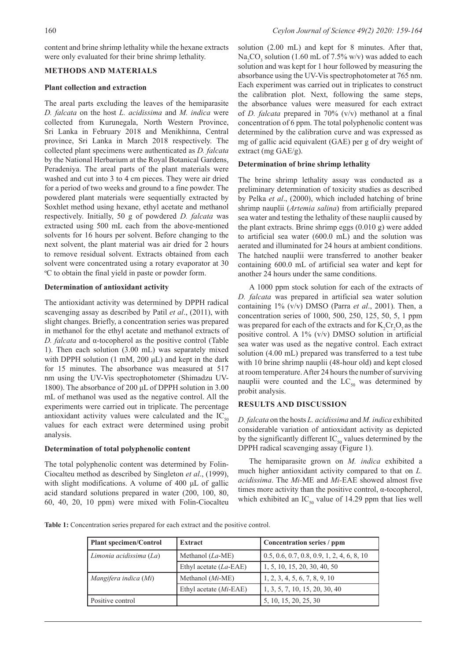content and brine shrimp lethality while the hexane extracts were only evaluated for their brine shrimp lethality.

## **METHODS AND MATERIALS**

#### **Plant collection and extraction**

The areal parts excluding the leaves of the hemiparasite *D. falcata* on the host *L. acidissima* and *M. indica* were collected from Kurunegala, North Western Province, Sri Lanka in February 2018 and Menikhinna, Central province, Sri Lanka in March 2018 respectively. The collected plant specimens were authenticated as *D. falcata* by the National Herbarium at the Royal Botanical Gardens, Peradeniya. The areal parts of the plant materials were washed and cut into 3 to 4 cm pieces. They were air dried for a period of two weeks and ground to a fine powder. The powdered plant materials were sequentially extracted by Soxhlet method using hexane, ethyl acetate and methanol respectively. Initially, 50 g of powdered *D. falcata* was extracted using 500 mL each from the above-mentioned solvents for 16 hours per solvent. Before changing to the next solvent, the plant material was air dried for 2 hours to remove residual solvent. Extracts obtained from each solvent were concentrated using a rotary evaporator at 30 ºC to obtain the final yield in paste or powder form.

#### **Determination of antioxidant activity**

The antioxidant activity was determined by DPPH radical scavenging assay as described by Patil *et al*., (2011), with slight changes. Briefly, a concentration series was prepared in methanol for the ethyl acetate and methanol extracts of *D. falcata* and α-tocopherol as the positive control (Table 1). Then each solution (3.00 mL) was separately mixed with DPPH solution (1 mM, 200 μL) and kept in the dark for 15 minutes. The absorbance was measured at 517 nm using the UV-Vis spectrophotometer (Shimadzu UV-1800). The absorbance of 200 μL of DPPH solution in 3.00 mL of methanol was used as the negative control. All the experiments were carried out in triplicate. The percentage antioxidant activity values were calculated and the  $IC_{50}$ values for each extract were determined using probit analysis.

#### **Determination of total polyphenolic content**

The total polyphenolic content was determined by Folin-Ciocalteu method as described by Singleton *et al*., (1999), with slight modifications. A volume of 400 μL of gallic acid standard solutions prepared in water (200, 100, 80, 60, 40, 20, 10 ppm) were mixed with Folin-Ciocalteu

solution (2.00 mL) and kept for 8 minutes. After that,  $\text{Na}_2\text{CO}_3$  solution (1.60 mL of 7.5% w/v) was added to each solution and was kept for 1 hour followed by measuring the absorbance using the UV-Vis spectrophotometer at 765 nm. Each experiment was carried out in triplicates to construct the calibration plot. Next, following the same steps, the absorbance values were measured for each extract of *D. falcata* prepared in 70% (v/v) methanol at a final concentration of 6 ppm. The total polyphenolic content was determined by the calibration curve and was expressed as mg of gallic acid equivalent (GAE) per g of dry weight of extract (mg GAE/g).

# **Determination of brine shrimp lethality**

The brine shrimp lethality assay was conducted as a preliminary determination of toxicity studies as described by Pelka *et al*., (2000), which included hatching of brine shrimp nauplii (*Artemia salina*) from artificially prepared sea water and testing the lethality of these nauplii caused by the plant extracts. Brine shrimp eggs (0.010 g) were added to artificial sea water (600.0 mL) and the solution was aerated and illuminated for 24 hours at ambient conditions. The hatched nauplii were transferred to another beaker containing 600.0 mL of artificial sea water and kept for another 24 hours under the same conditions.

A 1000 ppm stock solution for each of the extracts of *D. falcata* was prepared in artificial sea water solution containing 1% (v/v) DMSO (Parra *et al*., 2001). Then, a concentration series of 1000, 500, 250, 125, 50, 5, 1 ppm was prepared for each of the extracts and for  $K_2Cr_2O_7$  as the positive control. A 1% (v/v) DMSO solution in artificial sea water was used as the negative control. Each extract solution (4.00 mL) prepared was transferred to a test tube with 10 brine shrimp nauplii (48-hour old) and kept closed at room temperature. After 24 hours the number of surviving nauplii were counted and the  $LC_{50}$  was determined by probit analysis.

# **RESULTS AND DISCUSSION**

*D. falcata* on the hosts *L. acidissima* and *M. indica* exhibited considerable variation of antioxidant activity as depicted by the significantly different  $IC_{50}$  values determined by the DPPH radical scavenging assay (Figure 1).

The hemiparasite grown on *M. indica* exhibited a much higher antioxidant activity compared to that on *L. acidissima*. The *Mi-*ME and *Mi-*EAE showed almost five times more activity than the positive control, α-tocopherol, which exhibited an IC<sub>50</sub> value of 14.29 ppm that lies well

**Table 1:** Concentration series prepared for each extract and the positive control.

| <b>Plant specimen/Control</b> | <b>Extract</b>            | Concentration series / ppm                   |
|-------------------------------|---------------------------|----------------------------------------------|
| Limonia acidissima (La)       | Methanol $(La$ -ME)       | $0.5, 0.6, 0.7, 0.8, 0.9, 1, 2, 4, 6, 8, 10$ |
|                               | Ethyl acetate $(La$ -EAE) | 1, 5, 10, 15, 20, 30, 40, 50                 |
| Mangifera indica (Mi)         | Methanol $(Mi$ -ME)       | 1, 2, 3, 4, 5, 6, 7, 8, 9, 10                |
|                               | Ethyl acetate (Mi-EAE)    | 1, 3, 5, 7, 10, 15, 20, 30, 40               |
| Positive control              |                           | 5, 10, 15, 20, 25, 30                        |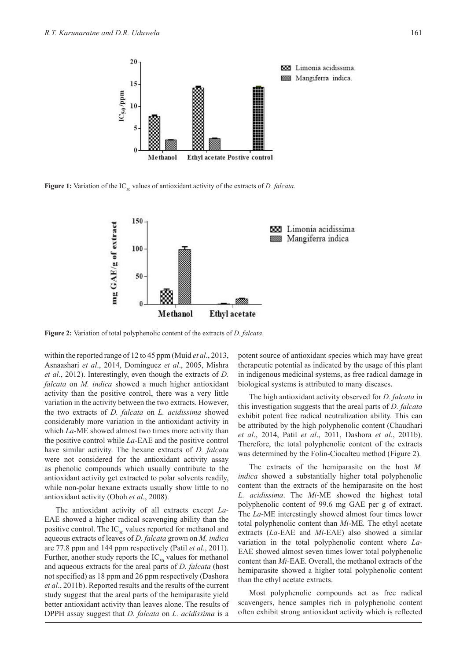

**Figure 1:** Variation of the IC<sub>50</sub> values of antioxidant activity of the extracts of *D. falcata*.



**Figure 2:** Variation of total polyphenolic content of the extracts of *D. falcata*.

within the reported range of 12 to 45 ppm (Muid *et al*., 2013, Asnaashari *et al*., 2014, Domínguez *et al*., 2005, Mishra *et al*., 2012). Interestingly, even though the extracts of *D. falcata* on *M. indica* showed a much higher antioxidant activity than the positive control, there was a very little variation in the activity between the two extracts. However, the two extracts of *D. falcata* on *L. acidissima* showed considerably more variation in the antioxidant activity in which *La*-ME showed almost two times more activity than the positive control while *La*-EAE and the positive control have similar activity. The hexane extracts of *D. falcata* were not considered for the antioxidant activity assay as phenolic compounds which usually contribute to the antioxidant activity get extracted to polar solvents readily, while non-polar hexane extracts usually show little to no antioxidant activity (Oboh *et al*., 2008).

The antioxidant activity of all extracts except *La-*EAE showed a higher radical scavenging ability than the positive control. The  $IC_{50}$  values reported for methanol and aqueous extracts of leaves of *D. falcata* grown on *M. indica*  are 77.8 ppm and 144 ppm respectively (Patil *et al*., 2011). Further, another study reports the  $IC_{50}$  values for methanol and aqueous extracts for the areal parts of *D. falcata* (host not specified) as 18 ppm and 26 ppm respectively (Dashora *et al*., 2011b). Reported results and the results of the current study suggest that the areal parts of the hemiparasite yield better antioxidant activity than leaves alone. The results of DPPH assay suggest that *D. falcata* on *L. acidissima* is a

potent source of antioxidant species which may have great therapeutic potential as indicated by the usage of this plant in indigenous medicinal systems, as free radical damage in biological systems is attributed to many diseases.

The high antioxidant activity observed for *D. falcata* in this investigation suggests that the areal parts of *D. falcata* exhibit potent free radical neutralization ability. This can be attributed by the high polyphenolic content (Chaudhari *et al*., 2014, Patil *et al*., 2011, Dashora *et al*., 2011b). Therefore, the total polyphenolic content of the extracts was determined by the Folin-Ciocalteu method (Figure 2).

The extracts of the hemiparasite on the host *M. indica* showed a substantially higher total polyphenolic content than the extracts of the hemiparasite on the host *L. acidissima*. The *Mi*-ME showed the highest total polyphenolic content of 99.6 mg GAE per g of extract. The *La*-ME interestingly showed almost four times lower total polyphenolic content than *Mi-*ME*.* The ethyl acetate extracts (*La*-EAE and *Mi-*EAE) also showed a similar variation in the total polyphenolic content where *La*-EAE showed almost seven times lower total polyphenolic content than *Mi-*EAE. Overall, the methanol extracts of the hemiparasite showed a higher total polyphenolic content than the ethyl acetate extracts.

Most polyphenolic compounds act as free radical scavengers, hence samples rich in polyphenolic content often exhibit strong antioxidant activity which is reflected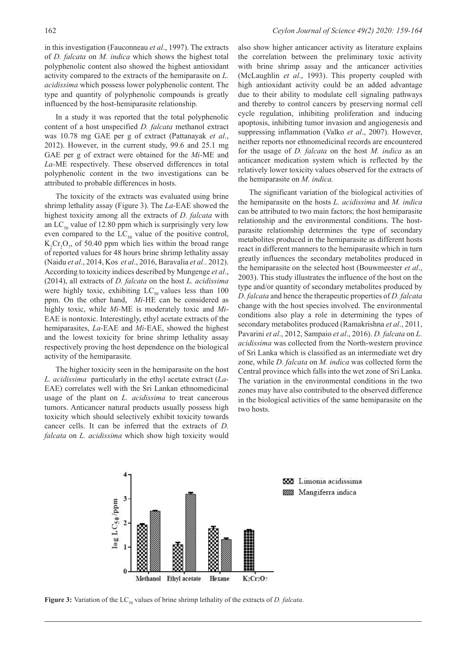in this investigation (Fauconneau *et al*., 1997). The extracts of *D. falcata* on *M. indica* which shows the highest total polyphenolic content also showed the highest antioxidant activity compared to the extracts of the hemiparasite on *L. acidissima* which possess lower polyphenolic content. The type and quantity of polyphenolic compounds is greatly influenced by the host-hemiparasite relationship.

In a study it was reported that the total polyphenolic content of a host unspecified *D. falcata* methanol extract was 10.78 mg GAE per g of extract (Pattanayak *et al*., 2012). However, in the current study, 99.6 and 25.1 mg GAE per g of extract were obtained for the *Mi-*ME and *La-*ME respectively. These observed differences in total polyphenolic content in the two investigations can be attributed to probable differences in hosts.

The toxicity of the extracts was evaluated using brine shrimp lethality assay (Figure 3). The *La-*EAE showed the highest toxicity among all the extracts of *D. falcata* with an  $LC_{50}$  value of 12.80 ppm which is surprisingly very low even compared to the  $LC_{50}$  value of the positive control,  $K_2Cr_2O_7$ , of 50.40 ppm which lies within the broad range of reported values for 48 hours brine shrimp lethality assay (Naidu *et al*., 2014, Kos *et al*., 2016, Baravalia *et al*.. 2012). According to toxicity indices described by Mungenge *et al*., (2014), all extracts of *D. falcata* on the host *L. acidissima*  were highly toxic, exhibiting  $LC_{50}$  values less than 100 ppm. On the other hand, *Mi-*HE can be considered as highly toxic, while *Mi-*ME is moderately toxic and *Mi*-EAE is nontoxic. Interestingly, ethyl acetate extracts of the hemiparasites, *La-*EAE and *Mi-*EAE, showed the highest and the lowest toxicity for brine shrimp lethality assay respectively proving the host dependence on the biological activity of the hemiparasite.

The higher toxicity seen in the hemiparasite on the host *L. acidissima* particularly in the ethyl acetate extract (*La-*EAE) correlates well with the Sri Lankan ethnomedicinal usage of the plant on *L. acidissima* to treat cancerous tumors. Anticancer natural products usually possess high toxicity which should selectively exhibit toxicity towards cancer cells. It can be inferred that the extracts of *D. falcata* on *L. acidissima* which show high toxicity would

also show higher anticancer activity as literature explains the correlation between the preliminary toxic activity with brine shrimp assay and the anticancer activities (McLaughlin *et al*., 1993). This property coupled with high antioxidant activity could be an added advantage due to their ability to modulate cell signaling pathways and thereby to control cancers by preserving normal cell cycle regulation, inhibiting proliferation and inducing apoptosis, inhibiting tumor invasion and angiogenesis and suppressing inflammation (Valko *et al*., 2007). However, neither reports nor ethnomedicinal records are encountered for the usage of *D. falcata* on the host *M. indica* as an anticancer medication system which is reflected by the relatively lower toxicity values observed for the extracts of the hemiparasite on *M. indica.*

The significant variation of the biological activities of the hemiparasite on the hosts *L. acidissima* and *M. indica*  can be attributed to two main factors; the host hemiparasite relationship and the environmental conditions. The hostparasite relationship determines the type of secondary metabolites produced in the hemiparasite as different hosts react in different manners to the hemiparasite which in turn greatly influences the secondary metabolites produced in the hemiparasite on the selected host (Bouwmeester *et al*., 2003). This study illustrates the influence of the host on the type and/or quantity of secondary metabolites produced by *D. falcata* and hence the therapeutic properties of *D. falcata*  change with the host species involved. The environmental conditions also play a role in determining the types of secondary metabolites produced (Ramakrishna *et al*., 2011, Pavarini *et al*., 2012, Sampaio *et al*., 2016). *D. falcata* on *L. acidissima* was collected from the North-western province of Sri Lanka which is classified as an intermediate wet dry zone, while *D. falcata* on *M. indica* was collected form the Central province which falls into the wet zone of Sri Lanka. The variation in the environmental conditions in the two zones may have also contributed to the observed difference in the biological activities of the same hemiparasite on the two hosts.



Figure 3: Variation of the LC<sub>50</sub> values of brine shrimp lethality of the extracts of *D. falcata*.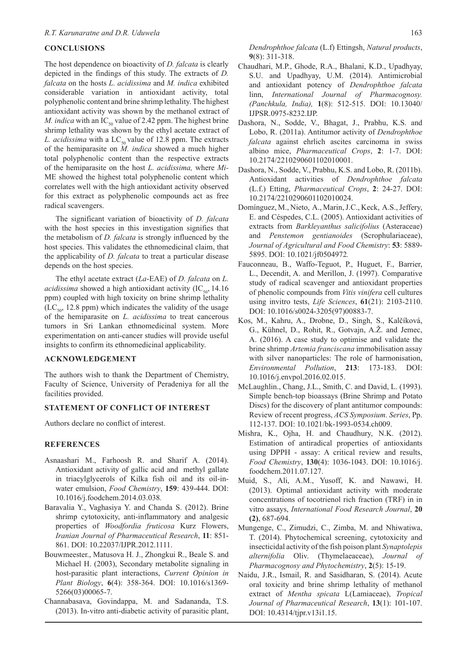# **CONCLUSIONS**

The host dependence on bioactivity of *D. falcata* is clearly depicted in the findings of this study. The extracts of *D. falcata* on the hosts *L. acidissima* and *M. indica* exhibited considerable variation in antioxidant activity, total polyphenolic content and brine shrimp lethality. The highest antioxidant activity was shown by the methanol extract of *M. indica* with an  $IC_{50}$  value of 2.42 ppm. The highest brine shrimp lethality was shown by the ethyl acetate extract of *L. acidissima* with a  $LC_{50}$  value of 12.8 ppm. The extracts of the hemiparasite on *M. indica* showed a much higher total polyphenolic content than the respective extracts of the hemiparasite on the host *L. acidissima,* where *Mi-*ME showed the highest total polyphenolic content which correlates well with the high antioxidant activity observed for this extract as polyphenolic compounds act as free radical scavengers.

The significant variation of bioactivity of *D. falcata*  with the host species in this investigation signifies that the metabolism of *D. falcata* is strongly influenced by the host species. This validates the ethnomedicinal claim, that the applicability of *D. falcata* to treat a particular disease depends on the host species.

The ethyl acetate extract (*La*-EAE) of *D. falcata* on *L. acidissima* showed a high antioxidant activity  $(IC_{50}, 14.16)$ ppm) coupled with high toxicity on brine shrimp lethality  $(LC<sub>so</sub>, 12.8 ppm)$  which indicates the validity of the usage of the hemiparasite on *L. acidissima* to treat cancerous tumors in Sri Lankan ethnomedicinal system. More experimentation on anti-cancer studies will provide useful insights to confirm its ethnomedicinal applicability.

# **ACKNOWLEDGEMENT**

The authors wish to thank the Department of Chemistry, Faculty of Science, University of Peradeniya for all the facilities provided.

# **STATEMENT OF CONFLICT OF INTEREST**

Authors declare no conflict of interest.

#### **REFERENCES**

- Asnaashari M., Farhoosh R. and Sharif A. (2014). Antioxidant activity of gallic acid and methyl gallate in triacylglycerols of Kilka fish oil and its oil-inwater emulsion, *Food Chemistry*, **159**: 439-444. DOI: 10.1016/j.foodchem.2014.03.038*.*
- Baravalia Y., Vaghasiya Y. and Chanda S. (2012). Brine shrimp cytotoxicity, anti-inflammatory and analgesic properties of *Woodfordia fruticosa* Kurz Flowers, *Iranian Journal of Pharmaceutical Research*, **11**: 851- 861. DOI: 10.22037/IJPR.2012.1111.
- Bouwmeester., Matusova H. J., Zhongkui R., Beale S. and Michael H. (2003), Secondary metabolite signaling in host-parasitic plant interactions, *Current Opinion in Plant Biology*, **6**(4): 358-364. DOI: 10.1016/s1369- 5266(03)00065-7.
- Channabasava, Govindappa, M. and Sadananda, T.S. (2013). In-vitro anti-diabetic activity of parasitic plant,

*Dendrophthoe falcata* (L.f) Ettingsh, *Natural products*, **9**(8): 311-318.

- Chaudhari, M.P., Ghode, R.A., Bhalani, K.D., Upadhyay, S.U. and Upadhyay, U.M. (2014). Antimicrobial and antioxidant potency of *Dendrophthoe falcata* linn, *International Journal of Pharmacognosy. (Panchkula, India),* **1**(8): 512-515. DOI: 10.13040/ IJPSR.0975-8232.IJP.
- Dashora, N., Sodde, V., Bhagat, J., Prabhu, K.S. and Lobo, R. (2011a). Antitumor activity of *Dendrophthoe falcata* against ehrlich ascites carcinoma in swiss albino mice, *Pharmaceutical Crops*, **2**: 1-7. DOI: 10.2174/2210290601102010001.
- Dashora, N., Sodde, V., Prabhu, K.S. and Lobo, R. (2011b). Antioxidant activities of *Dendrophthoe falcata* (L.f.) Etting, *Pharmaceutical Crops*, **2**: 24-27. DOI: 10.2174/2210290601102010024.
- Domínguez, M., Nieto, A., Marin, J.C., Keck, A.S., Jeffery, E. and Céspedes, C.L. (2005). Antioxidant activities of extracts from *Barkleyanthus salicifolius* (Asteraceae) and *Penstemon gentianoides* (Scrophulariaceae), *Journal of Agricultural and Food Chemistry*: **53**: 5889- 5895. DOI: 10.1021/jf0504972*.*
- Fauconneau, B., Waffo-Teguot, P., Huguet, F., Barrier, L., Decendit, A. and Merillon, J. (1997). Comparative study of radical scavenger and antioxidant properties of phenolic compounds from *Vitis vinifera* cell cultures using invitro tests, *Life Sciences*, **61**(21): 2103-2110. DOI: 10.1016/s0024-3205(97)00883-7.
- Kos, M., Kahru, A., Drobne, D., Singh, S., Kalčíková, G., Kühnel, D., Rohit, R., Gotvajn, A.Ž. and Jemec, A. (2016). A case study to optimise and validate the brine shrimp *Artemia franciscana* immobilisation assay with silver nanoparticles: The role of harmonisation, *Environmental Pollution*, **213**: 173-183. DOI: 10.1016/j.envpol.2016.02.015.
- McLaughlin., Chang, J.L., Smith, C. and David, L. (1993). Simple bench-top bioassays (Brine Shrimp and Potato Discs) for the discovery of plant antitumor compounds: Review of recent progress, *ACS Symposium. Series*, Pp. 112-137. DOI: 10.1021/bk-1993-0534.ch009.
- Mishra, K., Ojha, H. and Chaudhury, N.K. (2012). Estimation of antiradical properties of antioxidants using DPPH - assay: A critical review and results, *Food Chemistry*, **130**(4): 1036-1043. DOI: 10.1016/j. foodchem.2011.07.127.
- Muid, S., Ali, A.M., Yusoff, K. and Nawawi, H. (2013). Optimal antioxidant activity with moderate concentrations of tocotrienol rich fraction (TRF) in in vitro assays, *International Food Research Journal*, **20 (2)**, 687-694.
- Mungenge, C., Zimudzi, C., Zimba, M. and Nhiwatiwa, T. (2014). Phytochemical screening, cytotoxicity and insecticidal activity of the fish poison plant *Synaptolepis alternifolia* Oliv. (Thymelaeaceae), *Journal of Pharmacognosy and Phytochemistry*, **2**(5): 15-19.
- Naidu, J.R., Ismail, R. and Sasidharan, S. (2014). Acute oral toxicity and brine shrimp lethality of methanol extract of *Mentha spicata* L(Lamiaceae), *Tropical Journal of Pharmaceutical Research*, **13**(1): 101-107. DOI: 10.4314/tjpr.v13i1.15.